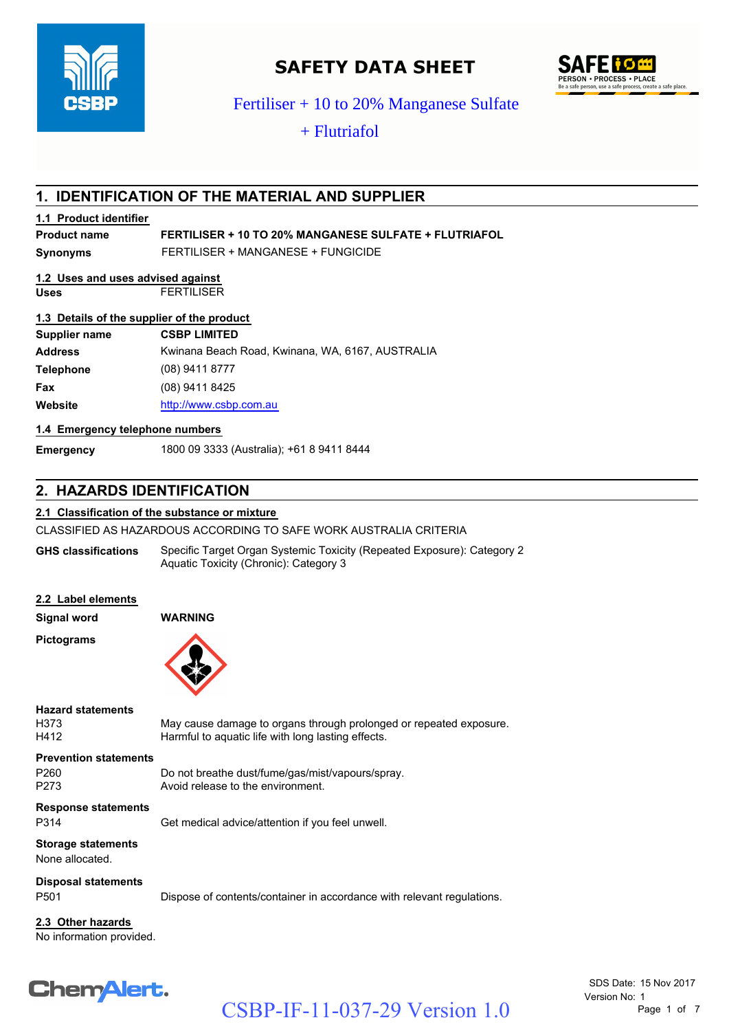Fertiliser + 10 to 20% Manganese Sulfate  $+$  Flutriafol